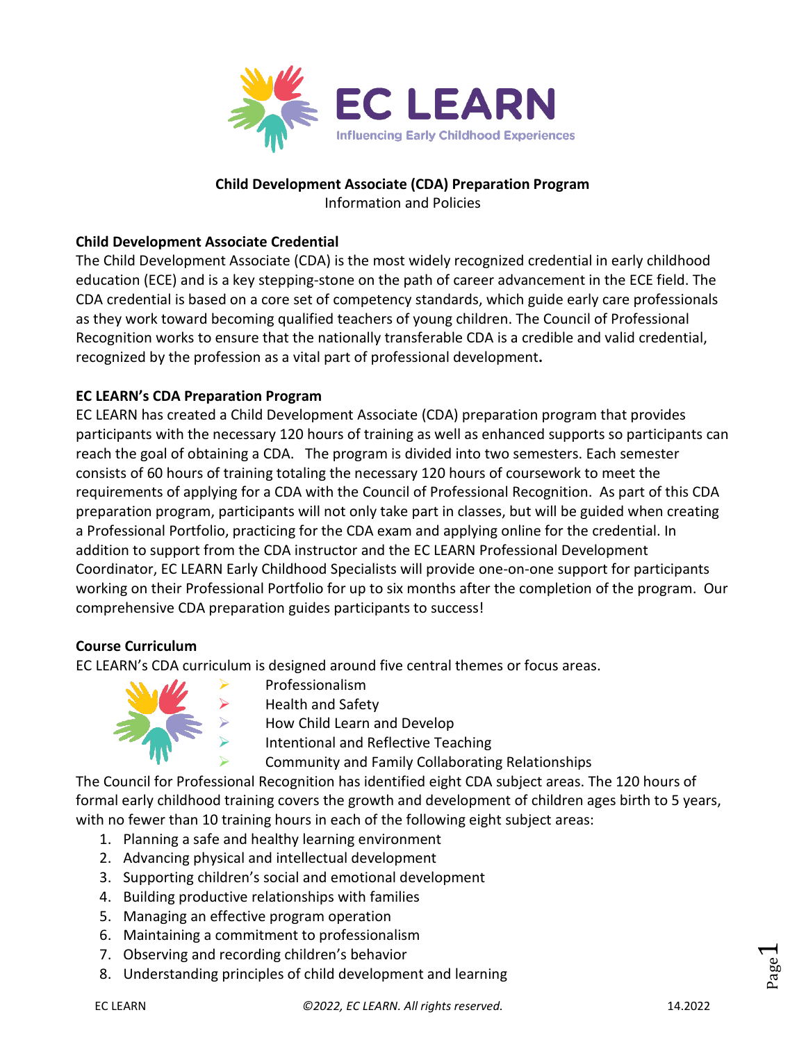

#### **Child Development Associate (CDA) Preparation Program**

Information and Policies

## **Child Development Associate Credential**

The Child Development Associate (CDA) is the most widely recognized credential in early childhood education (ECE) and is a key stepping-stone on the path of career advancement in the ECE field. The CDA credential is based on a core set of competency standards, which guide early care professionals as they work toward becoming qualified teachers of young children. The Council of Professional Recognition works to ensure that the nationally transferable CDA is a credible and valid credential, recognized by the profession as a vital part of professional development**.**

# **EC LEARN's CDA Preparation Program**

EC LEARN has created a Child Development Associate (CDA) preparation program that provides participants with the necessary 120 hours of training as well as enhanced supports so participants can reach the goal of obtaining a CDA. The program is divided into two semesters. Each semester consists of 60 hours of training totaling the necessary 120 hours of coursework to meet the requirements of applying for a CDA with the Council of Professional Recognition. As part of this CDA preparation program, participants will not only take part in classes, but will be guided when creating a Professional Portfolio, practicing for the CDA exam and applying online for the credential. In addition to support from the CDA instructor and the EC LEARN Professional Development Coordinator, EC LEARN Early Childhood Specialists will provide one-on-one support for participants working on their Professional Portfolio for up to six months after the completion of the program. Our comprehensive CDA preparation guides participants to success!

#### **Course Curriculum**

EC LEARN's CDA curriculum is designed around five central themes or focus areas.



Professionalism

Health and Safety

How Child Learn and Develop

Intentional and Reflective Teaching

Community and Family Collaborating Relationships

The Council for Professional Recognition has identified eight CDA subject areas. The 120 hours of formal early childhood training covers the growth and development of children ages birth to 5 years, with no fewer than 10 training hours in each of the following eight subject areas:

- 1. Planning a safe and healthy learning environment
- 2. Advancing physical and intellectual development
- 3. Supporting children's social and emotional development
- 4. Building productive relationships with families
- 5. Managing an effective program operation
- 6. Maintaining a commitment to professionalism
- 7. Observing and recording children's behavior
- 8. Understanding principles of child development and learning

Page  $\overline{\phantom{0}}$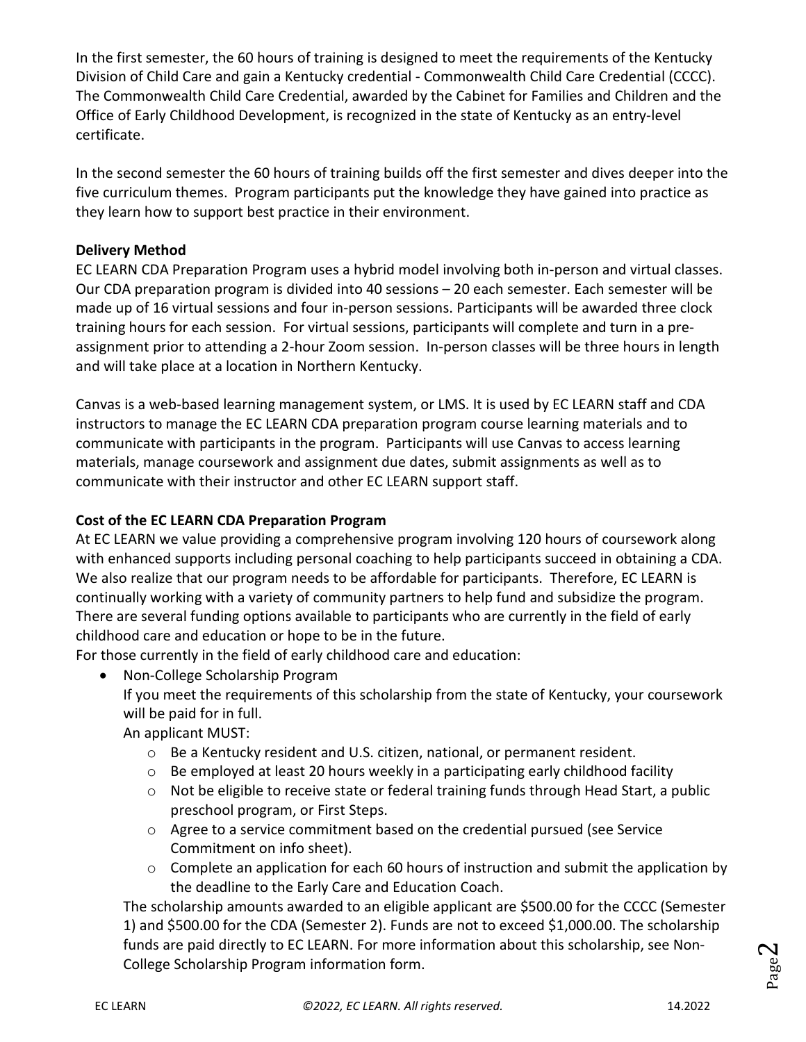In the first semester, the 60 hours of training is designed to meet the requirements of the Kentucky Division of Child Care and gain a Kentucky credential - Commonwealth Child Care Credential (CCCC). The Commonwealth Child Care Credential, awarded by the Cabinet for Families and Children and the Office of Early Childhood Development, is recognized in the state of Kentucky as an entry-level certificate.

In the second semester the 60 hours of training builds off the first semester and dives deeper into the five curriculum themes. Program participants put the knowledge they have gained into practice as they learn how to support best practice in their environment.

## **Delivery Method**

EC LEARN CDA Preparation Program uses a hybrid model involving both in-person and virtual classes. Our CDA preparation program is divided into 40 sessions – 20 each semester. Each semester will be made up of 16 virtual sessions and four in-person sessions. Participants will be awarded three clock training hours for each session. For virtual sessions, participants will complete and turn in a preassignment prior to attending a 2-hour Zoom session. In-person classes will be three hours in length and will take place at a location in Northern Kentucky.

Canvas is a web-based learning management system, or LMS. It is used by EC LEARN staff and CDA instructors to manage the EC LEARN CDA preparation program course learning materials and to communicate with participants in the program. Participants will use Canvas to access learning materials, manage coursework and assignment due dates, submit assignments as well as to communicate with their instructor and other EC LEARN support staff.

#### **Cost of the EC LEARN CDA Preparation Program**

At EC LEARN we value providing a comprehensive program involving 120 hours of coursework along with enhanced supports including personal coaching to help participants succeed in obtaining a CDA. We also realize that our program needs to be affordable for participants. Therefore, EC LEARN is continually working with a variety of community partners to help fund and subsidize the program. There are several funding options available to participants who are currently in the field of early childhood care and education or hope to be in the future.

For those currently in the field of early childhood care and education:

• Non-College Scholarship Program

If you meet the requirements of this scholarship from the state of Kentucky, your coursework will be paid for in full.

An applicant MUST:

- o Be a Kentucky resident and U.S. citizen, national, or permanent resident.
- $\circ$  Be employed at least 20 hours weekly in a participating early childhood facility
- o Not be eligible to receive state or federal training funds through Head Start, a public preschool program, or First Steps.
- $\circ$  Agree to a service commitment based on the credential pursued (see Service Commitment on info sheet).
- o Complete an application for each 60 hours of instruction and submit the application by the deadline to the Early Care and Education Coach.

The scholarship amounts awarded to an eligible applicant are \$500.00 for the CCCC (Semester 1) and \$500.00 for the CDA (Semester 2). Funds are not to exceed \$1,000.00. The scholarship funds are paid directly to EC LEARN. For more information about this scholarship, see Non-College Scholarship Program information form.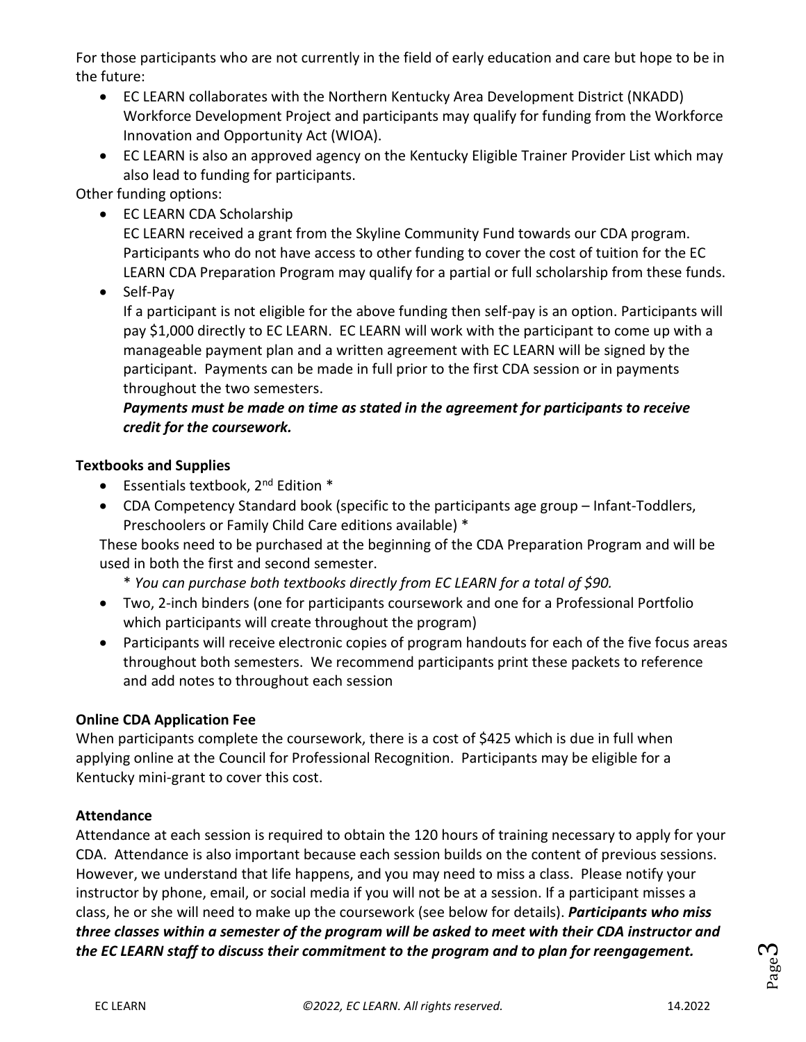For those participants who are not currently in the field of early education and care but hope to be in the future:

- EC LEARN collaborates with the Northern Kentucky Area Development District (NKADD) Workforce Development Project and participants may qualify for funding from the Workforce Innovation and Opportunity Act (WIOA).
- EC LEARN is also an approved agency on the Kentucky Eligible Trainer Provider List which may also lead to funding for participants.

Other funding options:

• EC LEARN CDA Scholarship

EC LEARN received a grant from the Skyline Community Fund towards our CDA program. Participants who do not have access to other funding to cover the cost of tuition for the EC LEARN CDA Preparation Program may qualify for a partial or full scholarship from these funds.

• Self-Pay

If a participant is not eligible for the above funding then self-pay is an option. Participants will pay \$1,000 directly to EC LEARN. EC LEARN will work with the participant to come up with a manageable payment plan and a written agreement with EC LEARN will be signed by the participant. Payments can be made in full prior to the first CDA session or in payments throughout the two semesters.

# *Payments must be made on time as stated in the agreement for participants to receive credit for the coursework.*

# **Textbooks and Supplies**

- **•** Essentials textbook,  $2^{nd}$  Edition  $*$
- CDA Competency Standard book (specific to the participants age group Infant-Toddlers, Preschoolers or Family Child Care editions available) \*

These books need to be purchased at the beginning of the CDA Preparation Program and will be used in both the first and second semester.

- \* *You can purchase both textbooks directly from EC LEARN for a total of \$90.*
- Two, 2-inch binders (one for participants coursework and one for a Professional Portfolio which participants will create throughout the program)
- Participants will receive electronic copies of program handouts for each of the five focus areas throughout both semesters. We recommend participants print these packets to reference and add notes to throughout each session

# **Online CDA Application Fee**

When participants complete the coursework, there is a cost of \$425 which is due in full when applying online at the Council for Professional Recognition. Participants may be eligible for a Kentucky mini-grant to cover this cost.

# **Attendance**

Attendance at each session is required to obtain the 120 hours of training necessary to apply for your CDA. Attendance is also important because each session builds on the content of previous sessions. However, we understand that life happens, and you may need to miss a class. Please notify your instructor by phone, email, or social media if you will not be at a session. If a participant misses a class, he or she will need to make up the coursework (see below for details). *Participants who miss three classes within a semester of the program will be asked to meet with their CDA instructor and the EC LEARN staff to discuss their commitment to the program and to plan for reengagement.*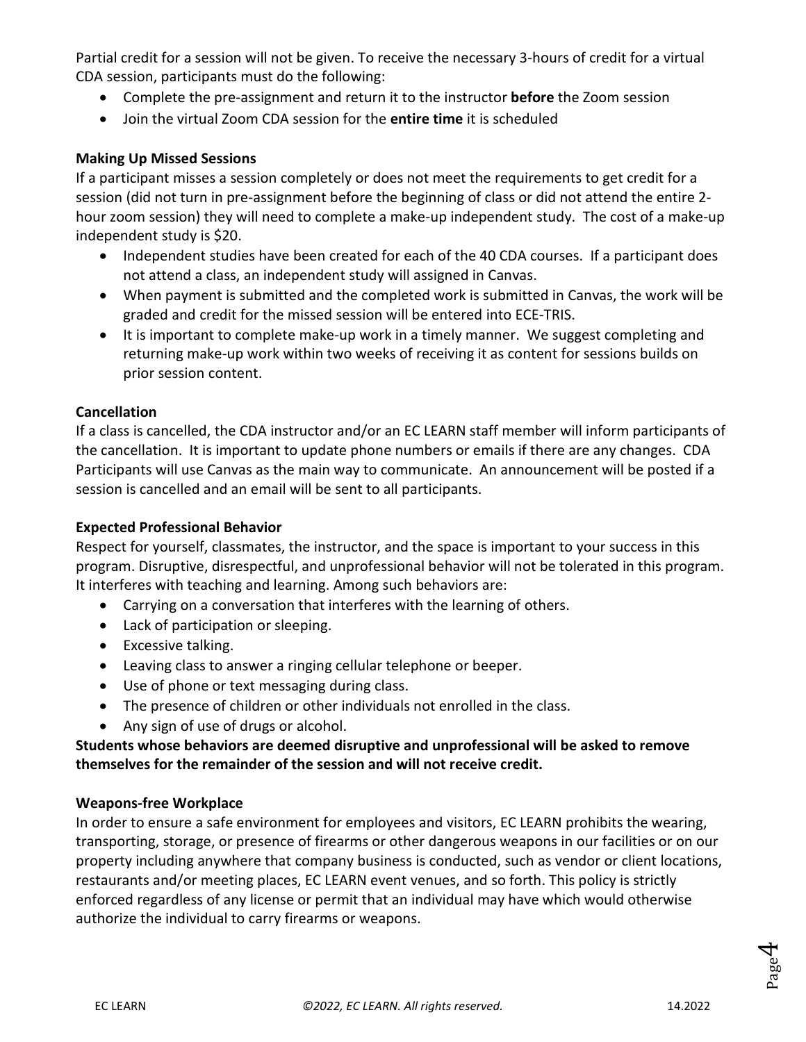Partial credit for a session will not be given. To receive the necessary 3-hours of credit for a virtual CDA session, participants must do the following:

- Complete the pre-assignment and return it to the instructor **before** the Zoom session
- Join the virtual Zoom CDA session for the **entire time** it is scheduled

## **Making Up Missed Sessions**

If a participant misses a session completely or does not meet the requirements to get credit for a session (did not turn in pre-assignment before the beginning of class or did not attend the entire 2 hour zoom session) they will need to complete a make-up independent study. The cost of a make-up independent study is \$20.

- Independent studies have been created for each of the 40 CDA courses. If a participant does not attend a class, an independent study will assigned in Canvas.
- When payment is submitted and the completed work is submitted in Canvas, the work will be graded and credit for the missed session will be entered into ECE-TRIS.
- It is important to complete make-up work in a timely manner. We suggest completing and returning make-up work within two weeks of receiving it as content for sessions builds on prior session content.

#### **Cancellation**

If a class is cancelled, the CDA instructor and/or an EC LEARN staff member will inform participants of the cancellation. It is important to update phone numbers or emails if there are any changes. CDA Participants will use Canvas as the main way to communicate. An announcement will be posted if a session is cancelled and an email will be sent to all participants.

#### **Expected Professional Behavior**

Respect for yourself, classmates, the instructor, and the space is important to your success in this program. Disruptive, disrespectful, and unprofessional behavior will not be tolerated in this program. It interferes with teaching and learning. Among such behaviors are:

- Carrying on a conversation that interferes with the learning of others.
- Lack of participation or sleeping.
- Excessive talking.
- Leaving class to answer a ringing cellular telephone or beeper.
- Use of phone or text messaging during class.
- The presence of children or other individuals not enrolled in the class.
- Any sign of use of drugs or alcohol.

# **Students whose behaviors are deemed disruptive and unprofessional will be asked to remove themselves for the remainder of the session and will not receive credit.**

# **Weapons-free Workplace**

In order to ensure a safe environment for employees and visitors, EC LEARN prohibits the wearing, transporting, storage, or presence of firearms or other dangerous weapons in our facilities or on our property including anywhere that company business is conducted, such as vendor or client locations, restaurants and/or meeting places, EC LEARN event venues, and so forth. This policy is strictly enforced regardless of any license or permit that an individual may have which would otherwise authorize the individual to carry firearms or weapons.